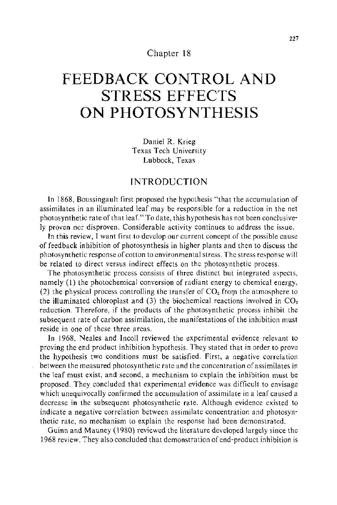#### Chapter 18

# **FEEDBACK CONTROL AND STRESS EFFECTS ON PHOTOSYNTHESIS**

Daniel R. Krieg Texas Tech University Lubbock, Texas

## **INTRODUCTION**

In 1868, Boussingault first proposed the hypothesis "that the accumulation of assimilates in an illuminated leaf may be responsible for a reduction in the net photosynthetic rate of that leaf." To date, this hypothesis has not been conclusively proven nor disproven. Considerable activity continues to address the issue.

In this review, I want first to develop our current concept of the possible cause of feedback inhibition of photosynthesis in higher plants and then to discuss the photosynthetic response of cotton to environmental stress. The stress response will be related to direct versus indirect effects on the photosynthetic process.

The photosynthetic process consists of three distinct but integrated aspects, namely (I) the photochemical conversion of radiant energy to chemical energy, (2) the physical process controlling the transfer of  $CO<sub>2</sub>$  from the atmosphere to the illuminated chloroplast and (3) the biochemical reactions involved in  $CO<sub>2</sub>$ reduction. Therefore, if the products of the photosynthetic process inhibit the subsequent rate of carbon assimilation, the manifestations of the inhibition must reside in one of these three areas.

In 1968, Neales and Incoll reviewed the experimental evidence relevant to proving the end product inhibition hypothesis. They stated that in order to prove the hypothesis two conditions must be satisfied. First, a negative correlation between the measured photosynthetic rate and the concentration of assimilates in the leaf must exist, and second, a mechanism to explain the inhibition must be proposed. They concluded that experimental evidence was difficult to envisage which unequivocally confirmed the accumulation of assimilate in a leaf caused a decrease in the subsequent photosynthetic rate. Although evidence existed to indicate a negative correlation between assimilate concentration and photosynthetic rate, no mechanism to explain the response had been demonstrated.

Guinn and Mauney ( 1980) reviewed the literature developed largely since the 1968 review. They also concluded that demonstration of end-product inhibition is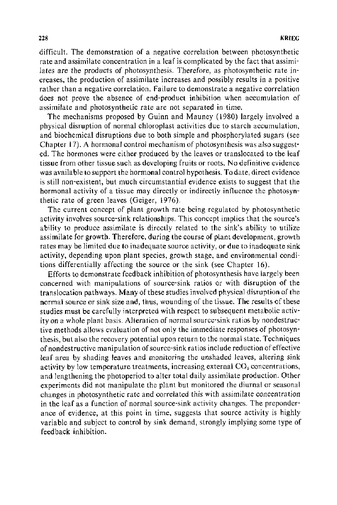difficult. The demonstration of a negative correlation between photosynthetic rate and assimilate concentration in a leaf is complicated by the fact that assimilates are the products of photosynthesis. Therefore, as photosynthetic rate increases, the production of assimilate increases and possibly results in a positive rather than a negative correlation. Failure to demonstrate a negative correlation does not prove the absence of end-product inhibition when accumulation of assimilate and photosynthetic rate are not separated in time.

The mechanisms proposed by Guinn and Mauney (1980) largely involved a physical disruption of normal chloroplast activities due to starch accumulation, and biochemical disruptions due to both simple and phosphorylated sugars (see Chapter 17). A hormonal control mechanism of photosynthesis was also suggested. The hormones were either produced by the leaves or translocated to the leaf tissue from other tissue such as developing fruits or roots. No definitive evidence was available to support the hormonal control hypothesis. To date, direct evidence is still non-existent, but much circumstantial evidence exists to suggest that the hormonal activity of a tissue may directly or indirectly influence the photosynthetic rate of green leaves (Geiger, 1976).

The current concept of plant growth rate being regulated by photosynthetic activity involves source-sink relationships. This concept implies that the source's ability to produce assimilate is directly related to the sink's ability to utilize assimilate for growth. Therefore, during the course of plant development, growth rates may be limited due to inadequate source activity, or due to inadequate sink activity, depending upon plant species, growth stage, and environmental conditions differentially affecting the source or the sink (see Chapter 16).

Efforts to demonstrate feedback inhibition of photosynthesis have largely been concerned with manipulations of source-sink ratios or with disruption of the translocation pathways. Many of these studies involved physical disruption of the normal source or sink size and, thus, wounding of the tissue. The results of these studies must be carefully interpreted with respect to subsequent metabolic activity on a whole plant basis. Alteration of normal source-sink ratios by nondestructive methods allows evaluation of not only the immediate responses of photosynthesis, but also the recovery potential upon return to the normal state. Techniques of nondestructive manipulation of source-sink ratios include reduction of effective leaf area by shading leaves and monitoring the unshaded leaves, altering sink activity by low temperature treatments, increasing external  $CO<sub>2</sub>$  concentrations, and lengthening the photoperiod to alter total daily assimilate production. Other experiments did not manipulate the plant but monitored the diurnal or seasonal changes in photosynthetic rate and correlated this with assimilate concentration in the leaf as a function of normal source-sink activity changes. The preponderance of evidence, at this point in time, suggests that source activity is highly variable and subject to control by sink demand, strongly implying some type of feedback inhibition.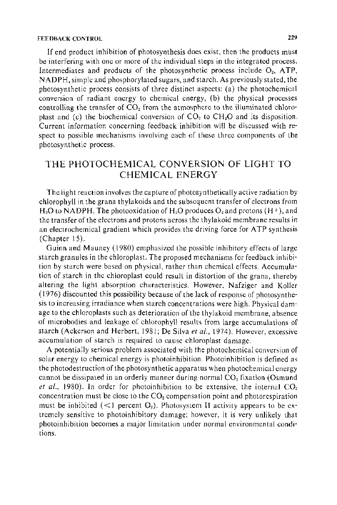If end product inhibition of photosynthesis does exist, then the products must be interfering with one or more of the individual steps in the integrated process. Intermediates and products of the photosynthetic process include  $Q_2$ , ATP, N ADPH, simple and phosphorylated sugars, and starch. As previously stated, the photosynthetic process consists of three distinct aspects: (a) the photochemical conversion of radiant energy to chemical energy, (b) the physical processes controlling the transfer of  $CO<sub>2</sub>$  from the atmosphere to the illuminated chloroplast and (c) the biochemical conversion of  $CO<sub>2</sub>$  to  $CH<sub>2</sub>O$  and its disposition. Current information concerning feedback inhibition will be discussed with respect to possible mechanisms involving each of these three components of the photosynthetic process.

# THE PHOTOCHEMICAL CONVERSION OF LIGHT TO CHEMICAL ENERGY

The light reaction involves the capture of photosynthetically active radiation by chlorophyll in the grana thylakoids and the subsequent transfer of electrons from  $H<sub>2</sub>O$  to NADPH. The photooxidation of  $H<sub>2</sub>O$  produces  $O<sub>2</sub>$  and protons (H+), and the transfer of the electrons and protons across the thylakoid membrane results in an electrochemical gradient which provides the driving force for A TP synthesis (Chapter 15).

Guinn and Mauney ( 1980) emphasized the possible inhibitory effects of large starch granules in the chloroplast. The proposed mechanisms for feedback inhibition by starch were based on physical, rather than chemical effects. Accumulation of starch in the chloroplast could result in distortion of the grana, thereby altering the light absorption characteristics. However, Nafziger and Koller ( 1976) discounted this possibility because of the lack of response of photosynthesis to increasing irradiance when starch concentrations were high. Physical damage to the chloroplasts such as deterioration of the thylakoid membrane, absence of microbodies and leakage of chlorophyll results from large accumulations of starch (Ackerson and Herbert, 1981; De Silva *et al.,* 1974). However, excessive accumulation of starch is required to cause chloroplast damage.

A potentially serious problem associated with the photochemical conversion of solar energy to chemical energy is photoinhibition. Photoinhibition is defined as the photodestruction of the photosynthetic apparatus when photochemical energy cannot be dissipated in an orderly manner during normal  $CO<sub>2</sub>$  fixation (Osmund *et al.*, 1980). In order for photoinhibition to be extensive, the internal  $CO<sub>2</sub>$ concentration must be close to the  $CO<sub>2</sub>$  compensation point and photorespiration must be inhibited ( $\leq 1$  percent  $O_2$ ). Photosystem II activity appears to be extremely sensitive to photoinhibitory damage; however, it is very unlikely that photoinhibition becomes a major limitation under normal environmental conditions.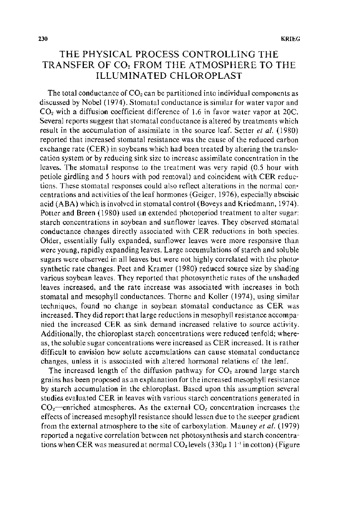# THE PHYSICAL PROCESS CONTROLLING THE TRANSFER OF CO, FROM THE ATMOSPHERE TO THE ILLUMINATED CHLOROPLAST

The total conductance of  $CO<sub>2</sub>$  can be partitioned into individual components as discussed by Nobel (1974). Stomatal conductance is similar for water vapor and  $CO<sub>2</sub>$  with a diffusion coefficient difference of 1.6 in favor water vapor at 20C. Several reports suggest that stomatal conductance is altered by treatments which result in the accumulation of assimilate in the source leaf. Setter *et al.* ( 1980) reported that increased stomatal resistance was the cause of the reduced carbon exchange rate (CER) in soybeans which had been treated by altering the translocation system or by reducing sink size to increase assimilate concentration in the leaves. The stomatal response to the treatment was very rapid (0.5 hour with petiole girdling and 5 hours with pod removal) and coincident with CER reductions. These stomatal responses could also reflect alterations in the normal concentrations and activities of the leaf hormones (Geiger, 1976), especially abscisic acid (ABA) which is involved in stomatal control (Boveys and Kriedmann, 1974). Potter and Breen (1980) used an extended photoperiod treatment to alter sugar: starch concentrations in soybean and sunflower leaves. They observed stomatal conductance changes directly associated with CER reductions in both species. Older, essentially fully expanded, sunflower leaves were more responsive than were young, rapidly expanding leaves. Large accumulations of starch and soluble sugars were observed in all leaves but were not highly correlated with the photosynthetic rate changes. Peet and Kramer (1980) reduced source size by shading various soybean leaves. They reported that photosynthetic rates of the unshaded leaves increased, and the rate increase was associated with increases in both stomatal and mesophyll conductances. Thorne and Koller (1974), using similar techniques, found no change in soybean stomatal conductance as CER was increased. They did report that large reductions in mesophyll resistance accompanied the increased CER as sink demand increased relative to source activity. Additionally, the chloroplast starch concentrations were reduced tenfold; whereas, the soluble sugar concentrations were increased as CER increased. It is rather difficult to envision how solute accumulations can cause stomatal conductance changes, unless it is associated with altered hormonal relations of the leaf.

The increased length of the diffusion pathway for  $CO<sub>2</sub>$  around large starch grains has been proposed as an explanation for the increased mesophyll resistance by starch accumulation in the chloroplast. Based upon this assumption several studies evaluated CER in leaves with various starch concentrations generated in  $CO<sub>2</sub>$ -enriched atmospheres. As the external  $CO<sub>2</sub>$  concentration increases the effects of increased mesophyll resistance should lessen due to the steeper gradient from the external atmosphere to the site of carboxylation. Mauney *et al.* (1979) reported a negative correlation between net photosynthesis and starch concentrations when CER was measured at normal  $CO<sub>2</sub>$  levels (330 $\mu$  1 1<sup>-1</sup> in cotton) (Figure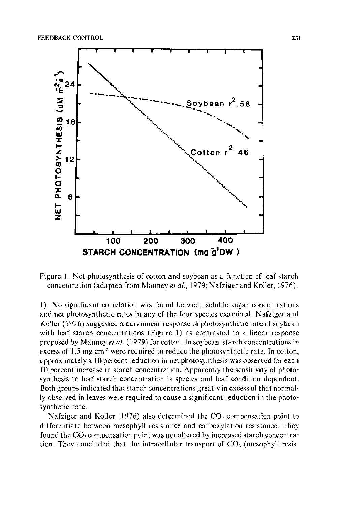

Figure 1. Net photosynthesis of cotton and soybean as a function of leaf starch concentration (adapted from Mauney et al., 1979; Nafziger and Koller, 1976).

1). No significant correlation was found between soluble sugar concentrations and net photosynthetic rates in any of the four species examined. Nafziger and Koller (1976) suggested a curvilinear response of photosynthetic rate of soybean with leaf starch concentrations (Figure 1) as contrasted to a linear response proposed by Mauney et al. (1979) for cotton. In soybean, starch concentrations in excess of 1.5 mg cm<sup>-2</sup> were required to reduce the photosynthetic rate. In cotton, approximately a 10 percent reduction in net photosynthesis was observed for each 10 percent increase in starch concentration. Apparently the sensitivity of photosynthesis to leaf starch concentration is species and leaf condition dependent. Both groups indicated that starch concentrations greatly in excess of that normally observed in leaves were required to cause a significant reduction in the photosynthetic rate.

Nafziger and Koller (1976) also determined the  $CO<sub>2</sub>$  compensation point to differentiate between mesophyll resistance and carboxylation resistance. They found the CO<sub>2</sub> compensation point was not altered by increased starch concentration. They concluded that the intracellular transport of  $CO<sub>2</sub>$  (mesophyll resis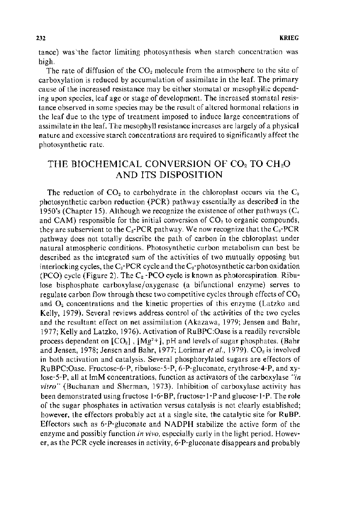tance) was 'the factor limiting photosynthesis when starch concentration was high.

The rate of diffusion of the  $CO<sub>2</sub>$  molecule from the atmosphere to the site of carboxylation is reduced by accumulation of assimilate in the leaf. The primary cause of the increased resistance may be either stomatal or mesophyllic depending upon species, leaf age or stage of development. The increased stomatal resistance observed in some species may be the result of altered hormonal relations in the leaf due to the type of treatment imposed to induce large concentrations of assimilate in the leaf. The mesophyll resistance increases are largely of a physical nature and excessive starch concentrations are required to significantly affect the photosynthetic rate.

## THE BIOCHEMICAL CONVERSION OF COz TO CHzO AND ITS DISPOSITION

The reduction of  $CO<sub>2</sub>$  to carbohydrate in the chloroplast occurs via the  $C<sub>3</sub>$ photosynthetic carbon reduction (PCR) pathway essentially as described in the 1950's (Chapter 15). Although we recognize the existence of other pathways  $(C_4)$ and CAM) responsible for the initial conversion of  $CO<sub>2</sub>$  to organic compounds, they are subservient to the  $C_3$ -PCR pathway. We now recognize that the  $C_3$ -PCR pathway does not totally describe the path of carbon in the chloroplast under natural atmospheric conditions. Photosynthetic carbon metabolism can best be described as the integrated sum of the activities of two mutually opposing but interlocking cycles, the C<sub>3</sub>-PCR cycle and the C<sub>2</sub>-photosynthetic carbon oxidation (PCO) cycle (Figure 2). The  $C_2$ -PCO cycle is known as photorespiration. Ribulose bisphosphate carboxylase/oxygenase (a bifunctional enzyme) serves to regulate carbon flow through these two competitive cycles through effects of  $CO<sub>2</sub>$ and  $O<sub>2</sub>$  concentrations and the kinetic properties of this enzyme (Latzko and Kelly, 1979). Several reviews address control of the activities of the two cycles and the resultant effect on net assimilation (Akazawa, 1979; Jensen and Bahr, 1977; Kelly and Latzko, 1976). Activation of RuBPC:Oase is a readily reversible process dependent on  $[CO_2]$ ,  $[Mg^{2+}]$ , pH and levels of sugar phosphates. (Bahr and Jensen, 1978; Jensen and Bahr, 1977; Lorimar *et al.*, 1979). CO<sub>2</sub> is involved in both activation and catalysis. Several phosphorylated sugars are effectors of RuBPC:Oase. Fructose-6-P, ribulose-5-P, 6-P-gluconate, erythrose-4-P, and xylose-5-P, all at lmM concentrations, function as activators of the carboxylase *"in vitro"* (Buchanan and Sherman, 1973). Inhibition of carboxylase activity has been demonstrated using fructose 1-6-BP, fructose-1-P and glucose-1-P. The role of the sugar phosphates in activation versus catalysis is not clearly established; however, the effectors probably act at a single site, the catalytic site for RuBP. Effectors such as 6-P-gluconate and NADPH stabilize the active form of the enzyme and possibly function *in vivo,* especially early in the light period. However, as the PCR cycle increases in activity, 6-P-gluconate disappears and probably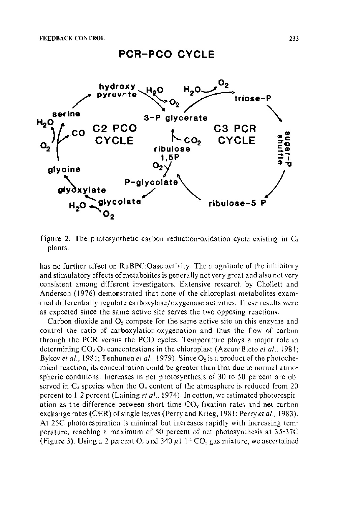# **PCR-PCO CYCLE**



Figure 2. The photosynthetic carbon reduction-oxidation cycle existing **in** C plants.

has no further effect on RuBPC:Oase activity. The magnitude of the inhibitory and stimulatory effects of metabolites is generally not very great and also not very consistent among different investigators. Extensive research by Chollett and Anderson (1976) demonstrated that none of the chloroplast metabolites examined differentially regulate carboxylase/oxygenase activities. These results were as expected since the same active site serves the two opposing reactions.

Carbon dioxide and  $O<sub>2</sub>$  compete for the same active site on this enzyme and control the ratio of carboxylation:oxygenation and thus the flow of carbon through the PCR versus the PCO cycles. Temperature plays a major role in determining CO<sub>2</sub>:O<sub>2</sub> concentrations in the chloroplast (Azcon-Bieto *et al.*, 1981; Bykov *et al.*, 1981; Tenhunen *et al.*, 1979). Since O<sub>2</sub> is a product of the photochemical reaction, its concentration could be greater than that due to normal atmospheric conditions. Increases in net photosynthesis of 30 to 50 percent are observed in  $C_3$  species when the  $O_2$  content of the atmosphere is reduced from 20 percent to 1-2 percent (Laining *et al ..* 1974). In cotton, we estimated photorespiration as the difference between short time  $CO<sub>2</sub>$  fixation rates and net carbon exchange rates (CER) of single leaves (Perry and Krieg, 1981; Perry *eta!.,* 1983 ). At 25C photorespiration is minimal but increases rapidly with increasing temperature, reaching a maximum of 50 percent of net photosynthesis at 35-37C (Figure 3). Using a 2 percent  $O_2$  and 340  $\mu$ 1 1<sup>-1</sup> CO<sub>2</sub> gas mixture, we ascertained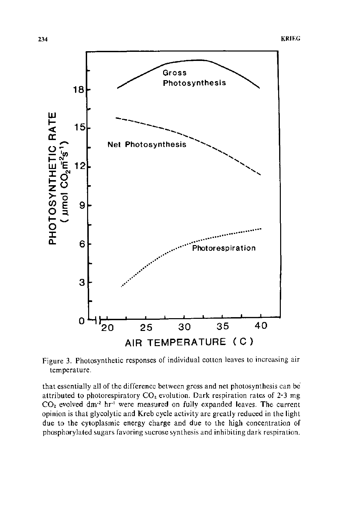

Figure 3. Photosynthetic responses of individual cotton leaves to increasing air temperature.

that essentially all of the difference between gross and net photosynthesis can be attributed to photorespiratory  $CO<sub>2</sub>$  evolution. Dark respiration rates of 2-3 mg  $CO<sub>2</sub>$  evolved dm<sup>-2</sup> hr<sup>-1</sup> were measured on fully expanded leaves. The current opinion is that glycolytic and Kreb cycle activity are greatly reduced in the light due to the cytoplasmic energy charge and due to the high concentration of phosphorylated sugars favoring sucrose synthesis and inhibiting dark respiration.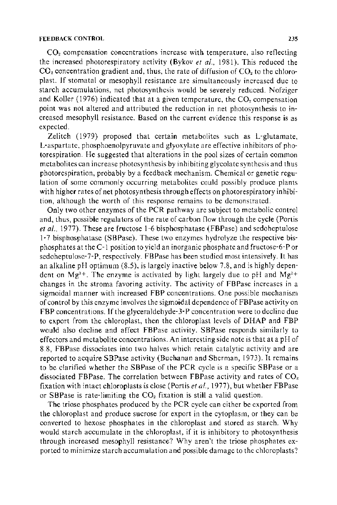$CO<sub>2</sub>$  compensation concentrations increase with temperature, also reflecting the increased photorespiratory activity (Bykov *et a!.,* 1981 ). This reduced the  $CO<sub>2</sub>$  concentration gradient and, thus, the rate of diffusion of  $CO<sub>2</sub>$  to the chloroplast. If stomatal or mesophyll resistance are simultaneously increased due to starch accumulations, net photosynthesis would be severely reduced. Nofziger and Koller (1976) indicated that at a given temperature, the  $CO<sub>2</sub>$  compensation point was not altered and attributed the reduction in net photosynthesis to increased mesophyll resistance. Based on the current evidence this response is as expected.

Zelitch (1979) proposed that certain metabolites such as L-glutamate, L-aspartate. phosphoenolpyruvate and glyoxylate are effective inhibitors of photorespiration. He suggested that alterations in the pool sizes of certain common metabolites can increase photosynthesis by inhibiting glycolate synthesis and thus photorespiration, probably by a feedback mechanism. Chemical or genetic regulation of some commonly occurring metabolites could possibly produce plants with higher rates of net photosynthesis through effects on photorespiratory inhibition, although the worth of this response remains to be demonstrated.

Only two other enzymes of the PCR pathway are subject to metabolic control and, thus, possible regulators of the rate of carbon flow through the cycle (Portis *eta!.,* 1977). These are fructose 1-6 bisphosphatase (FBPase) and sedoheptulose 1-7 bisphosphatase (SBPase). These two enzymes hydrolyze the respective hisphosphates at the C -I position to yield an inorganic phosphate and fructose-6-P or sedoheptulose-7-P, respectively. FBPase has been studied most intensively. It has an alkaline pH optimum (8.5), is largely inactive below 7 .8, and is highly dependent on  $Mg^{2+}$ . The enzyme is activated by light largely due to pH and  $Mg^{2+}$ changes in the stroma favoring activity. The activity of FBPase increases in a sigmoidal manner with increased FBP concentrations. One possible mechanism of control by this enzyme involves the sigmoidal dependence of FBPase activity on FBP concentrations. If the glyceraldehyde- 3-P concentration were to decline due to export from the chloroplast, then the chloroplast levels of DHAP and FBP would also decline and affect FBPase activity. SBPase responds similarly to effectors and metabolite concentrations. An interesting side note is that at a pH of 8.8, FBPase dissociates into two halves which retain catalytic activity and are reported to acquire SBPase activity (Buchanan and Sherman, 1973). It remains to be clarified whether the SBPase of the PCR cycle is a specific SBPase or a dissociated FBPase. The correlation between FBPase activity and rates of  $CO<sub>2</sub>$ fixation with intact chloroplasts is close (Portis *et al.,* 1977), but whether FBPase or SBPase is rate-limiting the  $CO<sub>2</sub>$  fixation is still a valid question.

The triose phosphates produced by the PCR cycle can either be exported from the chloroplast and produce sucrose for export in the cytoplasm, or they can be converted to hexose phosphates in the chloroplast and stored as starch. Why would starch accumulate in the chloroplast, if it is inhibitory to photosynthesis through increased mesophyll resistance? Why aren't the triose phosphates exported to minimize starch accumulation and possible damage to the chloroplasts?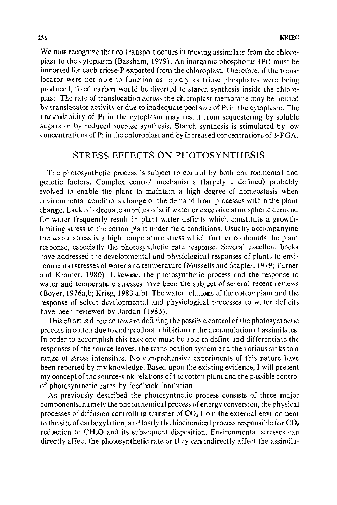We now recognize that co-transport occurs in moving assimilate from the chloroplast to the cytoplasm (Bassham, 1979). An inorganic phosphorus (Pi) must be imported for each triose-P exported from the chloroplast. Therefore, if the translocator were not able to function as rapidly as triose phosphates were being produced, fixed carbon would be diverted to starch synthesis inside the chloroplast. The rate of translocation across the chloroplast membrane may be limited by translocator activity or due to inadequate pool size of Pi in the cytoplasm. The unavailability of Pi in the cytoplasm may result from sequestering by soluble sugars or by reduced sucrose synthesis. Starch synthesis is stimulated by low concentrations of Pi in the chloroplast and by increased concentrations of 3-PGA.

## STRESS EFFECTS ON PHOTOSYNTHESIS

The photosynthetic process is subject to control by both environmental and genetic factors. Complex control mechanisms (largely undefined) probably evolved to enable the plant to maintain a high degree of homeostasis when environmental conditions change or the demand from processes within the plant change. Lack of adequate supplies of soil water or excessive atmospheric demand for water frequently result in plant water deficits which constitute a growthlimiting stress to the cotton plant under field conditions. Usually accompanying the water stress is a high temperature stress which further confounds the plant response, especially the photosynthetic rate response. Several excellent books have addressed the developmental and physiological responses of plants to environmental stresses of water and temperature (Mussells and Staples, 1979; Turner and Kramer, 1980). Likewise, the photosynthetic process and the response to water and temperature stresses have been the subject of several recent reviews (Boyer, 1976a,b; Krieg, 1983 a, b). The water relations of the cotton plant and the response of select developmental and physiological processes to water deficits have been reviewed by Jordan (1983).

This effort is directed toward defining the possible control of the photosynthetic process in cotton due to end-product inhibition or the accumulation of assimilates. In order to accomplish this task one must be able to define and differentiate the responses of the source leaves, the translocation system and the various sinks to a range of stress intensities. No comprehensive experiments of this nature have been reported by my knowledge. Based upon the existing evidence, I will present my concept of the source-sink relations of the cotton plant and the possible control of photosynthetic rates by feedback inhibition.

As previously described the photosynthetic process consists of three major components, namely the photochemical process of energy conversion, the physical processes of diffusion controlling transfer of  $CO<sub>2</sub>$  from the external environment to the site of carboxylation, and lastly the biochemical process responsible for  $CO<sub>2</sub>$ reduction to CH<sub>2</sub>O and its subsequent disposition. Environmental stresses can directly affect the photosynthetic rate or they can indirectly affect the assimila-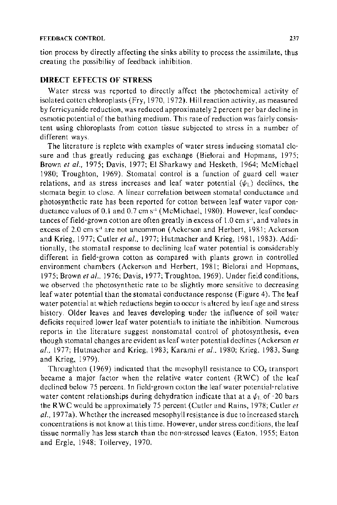tion process by directly affecting the sinks ability to process the assimilate, thus creating the possibility of feedback inhibition.

#### **DIRECT** EFFECTS OF STRESS

Water stress was reported to directly affect the photochemical activity of isolated cotton chloroplasts (Fry, 1970, 1972). Hill reaction activity, as measured by ferricyanide reduction, was reduced approximately 2 percent per bar decline in osmotic potential of the bathing medium. This rate of reduction was fairly consistent using chloroplasts from cotton tissue subjected to stress in a number of different ways.

The literature is replete with examples of water stress inducing stomatal closure and thus greatly reducing gas exchange (Bielorai and Hopmans, !975; Brown *et al.*, 1975; Davis, 1977; El Sharkawy and Hesketh, 1964; McMichael 1980; Troughton, 1969). Stomatal control is a function of guard cell water relations, and as stress increases and leaf water potential  $(\psi_1)$  declines, the stomata begin to close. A linear correlation between stomatal conductance and photosynthetic rate has been reported for cotton between leaf water vapor conductance values of 0.1 and 0.7 cm  $s<sup>-1</sup>$  (McMichael, 1980). However, leaf conductances of field-grown cotton are often greatly in excess of  $1.0 \text{ cm s}^{-1}$ , and values in excess of 2.0 cm s<sup>-1</sup> are not uncommon (Ackerson and Herbert, 1981; Ackerson and Krieg, 1977; Cutler *et al.*, 1977; Hutmacher and Krieg, 1981, 1983). Additionally, the stomatal response to declining leaf water potential is considerably different in field-grown cotton as compared with plants grown in controlled environment chambers (Ackerson and Herbert, 1981; Bielorai and Hopmans, 1975; Brown *eta!.,* 1976; Davis, 1977; Troughton, 1969). Under field conditions, we observed the photosynthetic rate to be slightly more sensitive to decreasing leaf water potential than the stomatal conductance response (Figure 4). The leaf water potential at which reductions begin to occur is altered by leaf age and stress history. Older leaves and leaves developing under the influence of soil water deficits required lower leaf water potentials to initiate the inhibition. Numerous reports in the literature suggest nonstomatal control of photosynthesis, even though stomatal changes are evident as leaf water potential declines (Ackerson *et a!.,* 1977; Hutmacher and Krieg, 1983; Karami *et a!.,* I 980; Krieg, 1983, Sung and Krieg, 1979).

Throughton (1969) indicated that the mesophyll resistance to  $CO<sub>2</sub>$  transport became a major factor when the relative water content (RWC) of the leaf declined below 75 percent. In field-grown cotton the leaf water potential-relative water content relationships during dehydration indicate that at a  $\psi_L$  of -20 bars the RWC would be approximately 75 percent (Cutler and Rains, 1978; Cutler *et a!.,* 1977a). Whether the increased mesophyll resistance is due to increased starch concentrations is not know at this time. However, under stress conditions, the leaf tissue normally has less starch than the non-stressed leaves (Eaton, 1955; Eaton and Ergle, 1948; Tollervey, 1970.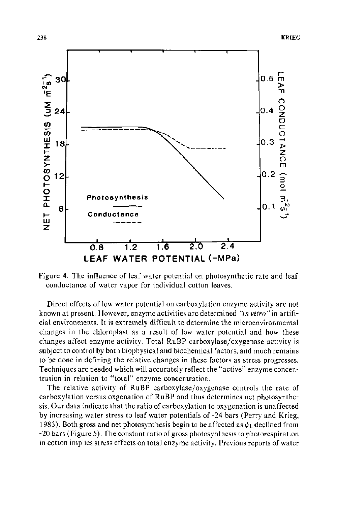

Figure 4. The influence of leaf water potential on photosynthetic rate and leaf conductance of water vapor for individual cotton leaves.

Direct effects of low water potential on carboxylation enzyme activity are not known at present. However, enzyme activities are determined *"in vitro"* in artificial environments. It is extremely difficult to determine the microenvironmental changes in the chloroplast as a result of low water potential and how these changes affect enzyme activity. Total RuBP carboxylase/oxygenase activity is subject to control by both biophysical and biochemical factors, and much remains to be done in defining the relative changes in these factors as stress progresses. Techniques are needed which will accurately reflect the "active" enzyme concentration in relation to "total" enzyme concentration.

The relative activity of RuBP carboxylase/oxygenase controls the rate of carboxylation versus oxgenation of RuBP and thus determines net photosynthesis. Our data indicate that the raiio of carboxylation to oxygenation is unaffected by increasing water stress to leaf water potentials of-24 bars (Perry and Krieg, 1983). Both gross and net photosynthesis begin to be affected as  $\psi_1$  declined from -20 bars (Figure 5). The constant ratio of gross photosynthesis to photorespiration in cotton implies stress effects on total enzyme activity. Previous reports of water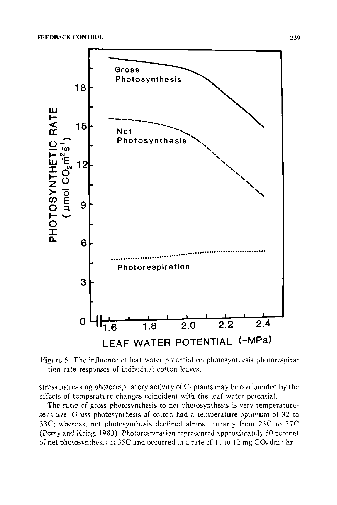

Figure 5. The influence of leaf water potential on photosynthesis-photorespiration rate responses of individual cotton leaves.

stress increasing photorespiratory activity of  $C_3$  plants may be confounded by the effects of temperature changes coincident with the leaf water potential.

The ratio of gross photosynthesis to net photosynthesis is very temperaturesensitive. Gross photosynthesis of cotton had a temperature optimum of 32 to 33C; whereas, net photosynthesis declined almost linearly from 25C to 37C (Perry and Krieg, 1983). Photorespiration represented approximately 50 percent of net photosynthesis at 35C and occurred at a rate of 11 to 12 mg  $CO<sub>2</sub>$  dm<sup>-2</sup> hr<sup>-1</sup>.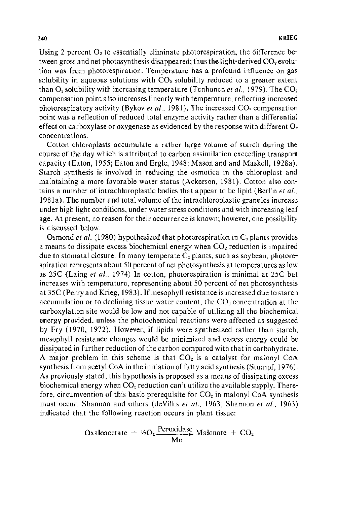Using 2 percent  $O_2$  to essentially eliminate photorespiration, the difference between gross and net photosynthesis disappeared; thus the light-derived  $CO<sub>2</sub>$  evolution was from photorespiration. Temperature has a profound influence on gas solubility in aqueous solutions with  $CO<sub>2</sub>$  solubility reduced to a greater extent than  $O<sub>v</sub>$  solubility with increasing temperature (Tenhunen *et al.*, 1979). The  $CO<sub>v</sub>$ compensation point also increases linearly with temperature, reflecting increased photorespiratory activity (Bykov *et al.*, 1981). The increased CO<sub>2</sub> compensation point was a reflection of reduced total enzyme activity rather than a differential effect on carboxylase or oxygenase as evidenced by the response with different  $O_2$ concentrations.

Cotton chloroplasts accumulate a rather large volume of starch during the course of the day which is attributed to carbon assimilation exceeding transport capacity (Eaton, 1955; Eaton and Ergle, 1948; Mason and and Maskell, 1928a). Starch synthesis is involved in reducing the osmotica in the chloroplast and maintaining a more favorable water status (Ackerson, 1981 ). Cotton also contains a number of intrachloroplastic bodies that appear to be lipid (Berlin *eta!.,*  1981a). The number and total volume of the intrachloroplastic granules increase under high light conditions, under water stress conditions and with increasing leaf age. At present, no reason for their occurrence is known; however, one possibility is discussed below.

Osmond *et al.* (1980) hypothesized that photorespiration in C<sub>3</sub> plants provides a means to dissipate excess biochemical energy when  $CO<sub>2</sub>$  reduction is impaired due to stomatal closure. In many temperate  $C_3$  plants, such as soybean, photorespiration represents about 50 percent of net photosynthesis at temperatures as low as 25C (Laing *et a/.,* 1974) In cotton, photorespiration is minimal at 25C but increases with temperature, representing about 50 percent of net photosynthesis at 35C (Perry and Krieg, 1983). If mesophyll resistance is increased due to starch accumulation or to declining tissue water content, the  $CO<sub>2</sub>$  concentration at the carboxylation site would be low and not capable of utilizing all the biochemical energy provided, unless the photochemical reactions were affected as suggested by Fry (1970, 1972). However, if lipids were synthesized rather than starch, mesophyll resistance changes would be minimized and excess energy could be dissipated in further reduction of the carbon compared with that in carbohydrate. A major problem in this scheme is that  $CO<sub>2</sub>$  is a catalyst for malonyl CoA synthesis from acetyl CoA in the initiation of fatty acid synthesis (Stumpf, 1976). As previously stated, this hypothesis is proposed as a means of dissipating excess biochemical energy when  $CO<sub>2</sub>$  reduction can't utilize the available supply. Therefore, circumvention of this basic prerequisite for  $CO<sub>2</sub>$  in malonyl CoA synthesis must occur. Shannon and others (deVillis *et a/.,* 1963; Shannon *et a/.,* 1963) indicated that the following reaction occurs in plant tissue:

Oxaloacetate + 
$$
\frac{1}{2}O_2 \frac{\text{Peroxidase}}{\text{Mn}}
$$
 Malonate + CO<sub>2</sub>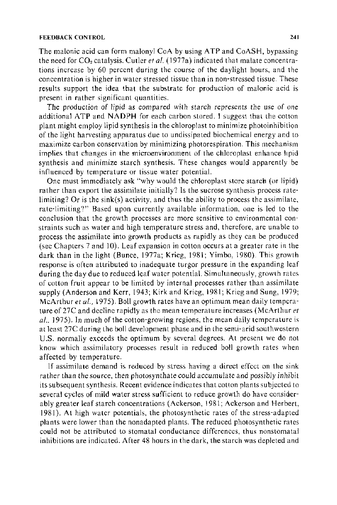The malonic acid can form malonyl CoA by using A TP and CoASH, bypassing the need for CO<sub>2</sub> catalysis. Cutler *et al.* (1977a) indicated that malate concentrations increase by 60 percent during the course of the daylight hours, and the concentration is higher in water stressed tissue than in non-stressed tissue. These results support the idea that the substrate for production of malonic acid is present in rather significant quantities.

The production of lipid as compared with starch represents the use of one additional ATP and NADPH for each carbon stored. 1 suggest that the cotton plant might employ lipid synthesis in the chloroplast to minimize photoinhibition of the light harvesting apparatus due to undissipated biochemical energy and to maximize carbon conservation by minimizing photorespiration. This mechanism implies that changes in the microenvironment of the chloroplast enhance hpid synthesis and minimize starch synthesis. These changes would apparently be influenced by temperature or tissue water potential.

One must immediately ask "why would the chloroplast store starch (or lipid) rather than export the assimilate initially? Is the sucrose synthesis process ratelimiting? Or is the sink(s) activity, and thus the ability to process the assimilate, rate-limiting?" Based upon currently available information, one is led to the conclusion that the growth processes are more sensitive to environmental constraints such as water and high temperature stress and, therefore, are unable to process the assimilate into growth products as rapidly as they can be produced (see Chapters 7 and 10). Leaf expansion in cotton occurs at a greater rate in the dark than in the light (Bunce, 1977a; Krieg, 1981; Yimbo, 1980). This growth response is often attributed to inadequate turgor pressure in the expanding leaf during the day due to reduced leaf water potential. Simultaneously, growth rates of cotton fruit appear to be limited by internal processes rather than assimilate supply (Anderson and Kerr, 1943; Kirk and Krieg, 1981; Krieg and Sung, 1979; McArthur *eta!.,* 1975). Boll growth rates have an optimum mean daily temperature of 27C and decline rapidly as the mean temperature increases (McArthur *et*  al., 1975). In much of the cotton-growing regions, the mean daily temperature is at least 27C during the boll development phase and in the semi-arid southwestern U.S. normally exceeds the optimum by several degrees. At present we do not know which assimilatory processes result in reduced boll growth rates when affected by temperature.

If assimilate demand is reduced by stress having a direct effect on the sink rather than the source, then photosynthate could accumulate and possibly inhibit its subsequent synthesis. Recent evidence indicates that cotton plants subjected to several cycles of mild water stress sufficient to reduce growth do have considerably greater leaf starch concentrations (Ackerson, 1981; Ackerson and Herbert, 1981). At high water potentials, the photosynthetic rates of the stress-adapted plants were lower than the nonadapted plants. The reduced photosynthetic rates could not be attributed to stomatal conductance differences, thus nonstomatal inhibitions are indicated. After 48 hours in the dark, the starch was depleted and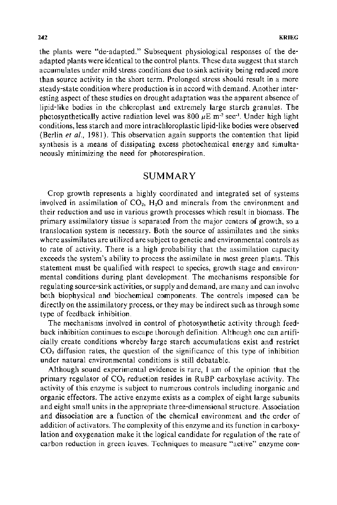the plants were "de-adapted." Subsequent physiological responses of the deadapted plants were identical to the control plants. These data suggest that starch accumulates under mild stress conditions due to sink activity being reduced more than source activity in the short term. Prolonged stress should result in a more steady-state condition where production is in accord with demand. Another interesting aspect of these studies on drought adaptation was the apparent absence of lipid-like bodies in the chloroplast and extremely large starch granules. The photosynthetically active radiation level was 800  $\mu$ E m<sup>-2</sup> sec<sup>-1</sup>. Under high light conditions, less starch and more intrachloroplastic lipid-like bodies were observed (Berlin *et al.*, 1981). This observation again supports the contention that lipid synthesis is a means of dissipating excess photochemical energy and simultaneously minimizing the need for photorespiration.

### SUMMARY

Crop growth represents a highly coordinated and integrated set of systems involved in assimilation of  $CO<sub>2</sub>$ , H<sub>2</sub>O and minerals from the environment and their reduction and use in various growth processes which result in biomass. The primary assimilatory tissue is separated from the major centers of growth, so a translocation system is necessary. Both the source of assimilates and the sinks where assimilates are utilized are subject to genetic and environmental controls as to rate of activity. There is a high probability that the assimilation capacity exceeds the system's ability to process the assimilate in most green plants. This statement must be qualified with respect to species, growth stage and environmental conditions during plant development. The mechanisms responsible for regulating source-sink activities, or supply and demand, are many and can involve both biophysical and biochemical components. The controls imposed can be directly on the assimilatory process, or they may be indirect such as through some type of feedback inhibition.

The mechanisms involved in control of photosynthetic activity through feedback inhibition continues to escape thorough definition. Although one can artificially create conditions whereby large starch accumulations exist and restrict  $CO<sub>2</sub>$  diffusion rates, the question of the significance of this type of inhibition under natural environmental conditions is still debatable.

Although sound experimental evidence is rare, I am of the opinion that the primary regulator of  $CO<sub>2</sub>$  reduction resides in RuBP carboxylase activity. The activity of this enzyme is subject to numerous controls including inorganic and organic effectors. The active enzyme exists as a complex of eight large subunits and eight small units in the appropriate three-dimensional structure. Association and dissociation are a function of the chemical environment and the order of addition of activators. The complexity of this enzyme and its function in carboxylation and oxygenation make it the logical candidate for regulation of the rate of carbon reduction in green leaves. Techniques to measure "active" enzyme con-